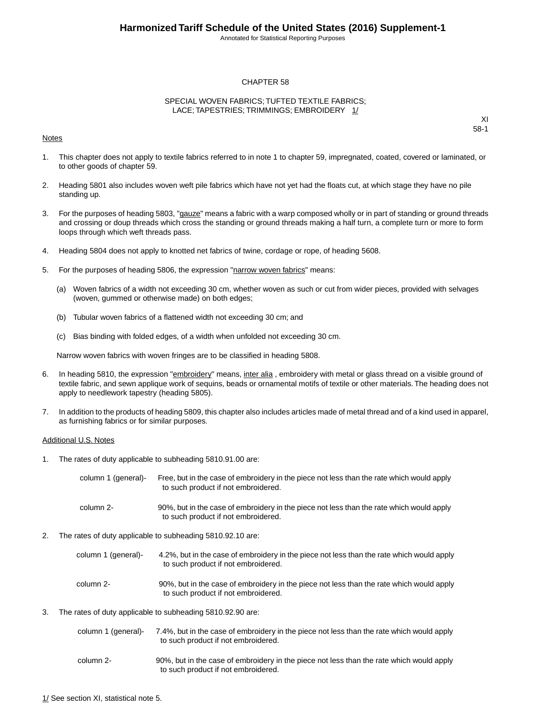Annotated for Statistical Reporting Purposes

#### CHAPTER 58

#### SPECIAL WOVEN FABRICS; TUFTED TEXTILE FABRICS; LACE; TAPESTRIES; TRIMMINGS; EMBROIDERY 1/

#### Notes

XI 58-1

- 1. This chapter does not apply to textile fabrics referred to in note 1 to chapter 59, impregnated, coated, covered or laminated, or to other goods of chapter 59.
- 2. Heading 5801 also includes woven weft pile fabrics which have not yet had the floats cut, at which stage they have no pile standing up.
- 3. For the purposes of heading 5803, "gauze" means a fabric with a warp composed wholly or in part of standing or ground threads and crossing or doup threads which cross the standing or ground threads making a half turn, a complete turn or more to form loops through which weft threads pass.
- 4. Heading 5804 does not apply to knotted net fabrics of twine, cordage or rope, of heading 5608.
- 5. For the purposes of heading 5806, the expression "narrow woven fabrics" means:
	- (a) Woven fabrics of a width not exceeding 30 cm, whether woven as such or cut from wider pieces, provided with selvages (woven, gummed or otherwise made) on both edges;
	- (b) Tubular woven fabrics of a flattened width not exceeding 30 cm; and
	- (c) Bias binding with folded edges, of a width when unfolded not exceeding 30 cm.

Narrow woven fabrics with woven fringes are to be classified in heading 5808.

- 6. In heading 5810, the expression "embroidery" means, inter alia, embroidery with metal or glass thread on a visible ground of textile fabric, and sewn applique work of sequins, beads or ornamental motifs of textile or other materials.The heading does not apply to needlework tapestry (heading 5805).
- 7. In addition to the products of heading 5809, this chapter also includes articles made of metal thread and of a kind used in apparel, as furnishing fabrics or for similar purposes.

#### Additional U.S. Notes

1. The rates of duty applicable to subheading 5810.91.00 are:

| column 1 (general)- | Free, but in the case of embroidery in the piece not less than the rate which would apply<br>to such product if not embroidered. |
|---------------------|----------------------------------------------------------------------------------------------------------------------------------|
| column 2-           | 90%, but in the case of embroidery in the piece not less than the rate which would apply<br>to such product if not embroidered.  |

- 2. The rates of duty applicable to subheading 5810.92.10 are:
	- 4.2%, but in the case of embroidery in the piece not less than the rate which would apply to such product if not embroidered. column 1 (general)- 90%, but in the case of embroidery in the piece not less than the rate which would apply to such product if not embroidered. column 2-
- 3. The rates of duty applicable to subheading 5810.92.90 are:

| column 1 (general)- | 7.4%, but in the case of embroidery in the piece not less than the rate which would apply |
|---------------------|-------------------------------------------------------------------------------------------|
|                     | to such product if not embroidered.                                                       |

90%, but in the case of embroidery in the piece not less than the rate which would apply to such product if not embroidered. column 2-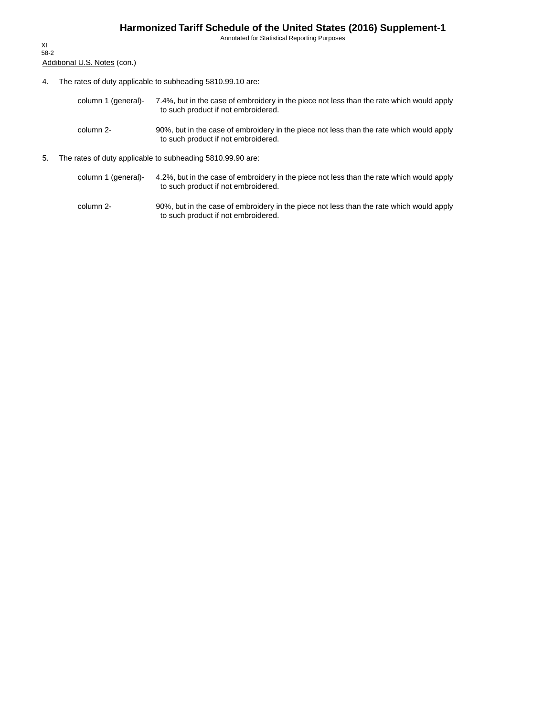Annotated for Statistical Reporting Purposes

Additional U.S. Notes (con.) XI 58-2

- 4. The rates of duty applicable to subheading 5810.99.10 are:
	- 7.4%, but in the case of embroidery in the piece not less than the rate which would apply to such product if not embroidered. column 1 (general)-
	- 90%, but in the case of embroidery in the piece not less than the rate which would apply to such product if not embroidered. column 2-
- 5. The rates of duty applicable to subheading 5810.99.90 are:
	- 4.2%, but in the case of embroidery in the piece not less than the rate which would apply to such product if not embroidered. column 1 (general)-
	- 90%, but in the case of embroidery in the piece not less than the rate which would apply to such product if not embroidered. column 2-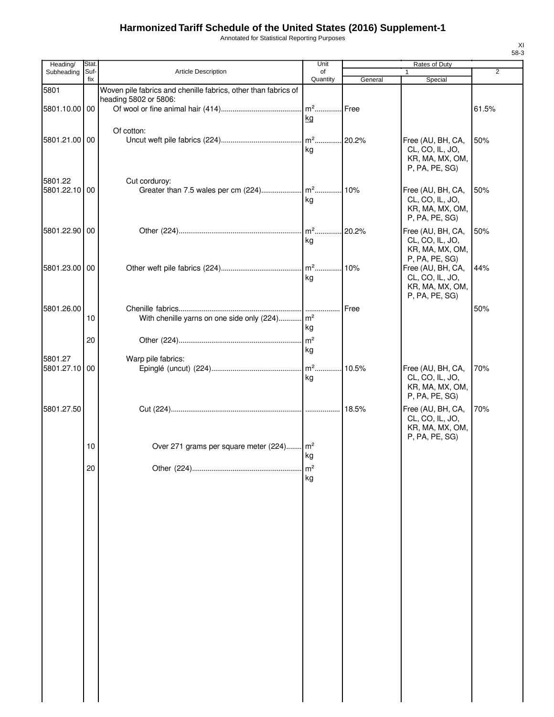Annotated for Statistical Reporting Purposes

| Heading/      | Stat.       |                                                                | Unit                |         | Rates of Duty                        |       |
|---------------|-------------|----------------------------------------------------------------|---------------------|---------|--------------------------------------|-------|
| Subheading    | Suf-<br>fix | <b>Article Description</b>                                     | of<br>Quantity      | General | 1<br>Special                         | 2     |
| 5801          |             | Woven pile fabrics and chenille fabrics, other than fabrics of |                     |         |                                      |       |
|               |             | heading 5802 or 5806:                                          |                     |         |                                      |       |
| 5801.10.00 00 |             |                                                                | m <sup>2</sup> Free |         |                                      | 61.5% |
|               |             |                                                                | kg                  |         |                                      |       |
|               |             | Of cotton:                                                     |                     |         |                                      |       |
| 5801.21.00 00 |             |                                                                |                     |         | Free (AU, BH, CA,                    | 50%   |
|               |             |                                                                | kg                  |         | CL, CO, IL, JO,<br>KR, MA, MX, OM,   |       |
|               |             |                                                                |                     |         | P, PA, PE, SG)                       |       |
| 5801.22       |             | Cut corduroy:                                                  |                     |         |                                      |       |
| 5801.22.10 00 |             |                                                                |                     |         | Free (AU, BH, CA,                    | 50%   |
|               |             |                                                                | kg                  |         | CL, CO, IL, JO,                      |       |
|               |             |                                                                |                     |         | KR, MA, MX, OM,                      |       |
|               |             |                                                                |                     |         | P, PA, PE, SG)                       |       |
| 5801.22.90 00 |             |                                                                |                     | .20.2%  | Free (AU, BH, CA,                    | 50%   |
|               |             |                                                                | kg                  |         | CL, CO, IL, JO,<br>KR, MA, MX, OM,   |       |
|               |             |                                                                |                     |         | P, PA, PE, SG)                       |       |
| 5801.23.00 00 |             |                                                                |                     |         | Free (AU, BH, CA,                    | 44%   |
|               |             |                                                                | kg                  |         | CL, CO, IL, JO,                      |       |
|               |             |                                                                |                     |         | KR, MA, MX, OM,<br>P, PA, PE, SG)    |       |
| 5801.26.00    |             |                                                                |                     |         |                                      |       |
|               | 10          | With chenille yarns on one side only (224) m <sup>2</sup>      |                     | Free    |                                      | 50%   |
|               |             |                                                                | kg                  |         |                                      |       |
|               | 20          |                                                                | m <sup>2</sup>      |         |                                      |       |
|               |             |                                                                | kg                  |         |                                      |       |
| 5801.27       |             | Warp pile fabrics:                                             |                     |         |                                      |       |
| 5801.27.10 00 |             |                                                                | kg                  |         | Free (AU, BH, CA,<br>CL, CO, IL, JO, | 70%   |
|               |             |                                                                |                     |         | KR, MA, MX, OM,                      |       |
|               |             |                                                                |                     |         | P, PA, PE, SG)                       |       |
| 5801.27.50    |             |                                                                |                     |         | Free (AU, BH, CA,                    | 70%   |
|               |             |                                                                |                     |         | CL, CO, IL, JO,                      |       |
|               |             |                                                                |                     |         | KR, MA, MX, OM,                      |       |
|               | 10          | Over 271 grams per square meter (224) m <sup>2</sup>           |                     |         | P, PA, PE, SG)                       |       |
|               |             |                                                                | kg                  |         |                                      |       |
|               | 20          |                                                                | m <sup>2</sup>      |         |                                      |       |
|               |             |                                                                | kg                  |         |                                      |       |
|               |             |                                                                |                     |         |                                      |       |
|               |             |                                                                |                     |         |                                      |       |
|               |             |                                                                |                     |         |                                      |       |
|               |             |                                                                |                     |         |                                      |       |
|               |             |                                                                |                     |         |                                      |       |
|               |             |                                                                |                     |         |                                      |       |
|               |             |                                                                |                     |         |                                      |       |
|               |             |                                                                |                     |         |                                      |       |
|               |             |                                                                |                     |         |                                      |       |
|               |             |                                                                |                     |         |                                      |       |
|               |             |                                                                |                     |         |                                      |       |
|               |             |                                                                |                     |         |                                      |       |
|               |             |                                                                |                     |         |                                      |       |
|               |             |                                                                |                     |         |                                      |       |
|               |             |                                                                |                     |         |                                      |       |
|               |             |                                                                |                     |         |                                      |       |
|               |             |                                                                |                     |         |                                      |       |
|               |             |                                                                |                     |         |                                      |       |
|               |             |                                                                |                     |         |                                      |       |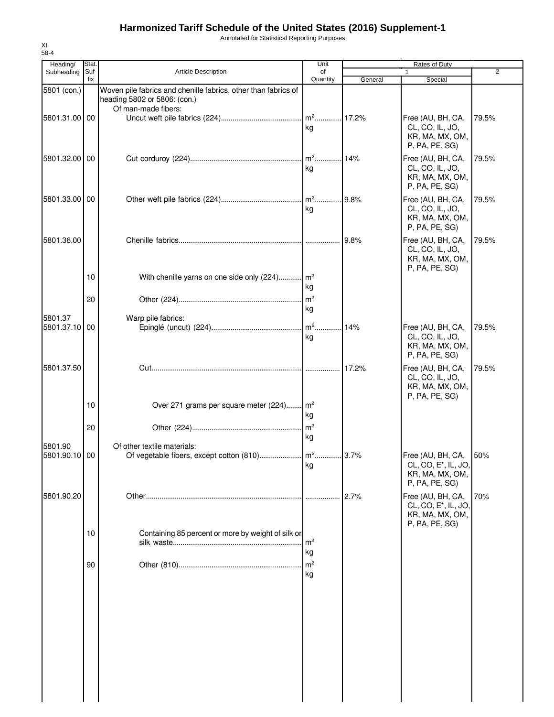Annotated for Statistical Reporting Purposes

| Heading/                 | Stat.       |                                                                                                | Unit                 |         | Rates of Duty                                                                              |       |
|--------------------------|-------------|------------------------------------------------------------------------------------------------|----------------------|---------|--------------------------------------------------------------------------------------------|-------|
| Subheading               | Suf-<br>fix | Article Description                                                                            | of<br>Quantity       | General | Special                                                                                    | 2     |
| 5801 (con.)              |             | Woven pile fabrics and chenille fabrics, other than fabrics of<br>heading 5802 or 5806: (con.) |                      |         |                                                                                            |       |
| 5801.31.00 00            |             | Of man-made fibers:                                                                            | kg                   |         | Free (AU, BH, CA,<br>CL, CO, IL, JO,<br>KR, MA, MX, OM,<br>P, PA, PE, SG)                  | 79.5% |
| 5801.32.00 00            |             |                                                                                                | kg                   |         | Free (AU, BH, CA,<br>CL, CO, IL, JO,<br>KR, MA, MX, OM,<br>P, PA, PE, SG)                  | 79.5% |
| 5801.33.00 00            |             |                                                                                                | kg                   |         | Free (AU, BH, CA,<br>CL, CO, IL, JO,<br>KR, MA, MX, OM,<br>P, PA, PE, SG)                  | 79.5% |
| 5801.36.00               | 10          | With chenille yarns on one side only (224) m <sup>2</sup>                                      |                      | 9.8%    | Free (AU, BH, CA,<br>CL, CO, IL, JO,<br>KR, MA, MX, OM,<br>P, PA, PE, SG)                  | 79.5% |
|                          | 20          |                                                                                                | kg<br>m <sup>2</sup> |         |                                                                                            |       |
| 5801.37<br>5801.37.10 00 |             | Warp pile fabrics:                                                                             | kg<br>kg             |         | Free (AU, BH, CA,<br>CL, CO, IL, JO,<br>KR, MA, MX, OM,<br>P, PA, PE, SG)                  | 79.5% |
| 5801.37.50               |             |                                                                                                |                      | 17.2%   | Free (AU, BH, CA,<br>CL, CO, IL, JO,<br>KR, MA, MX, OM,<br>P, PA, PE, SG)                  | 79.5% |
|                          | 10          | Over 271 grams per square meter (224) m <sup>2</sup>                                           | kg                   |         |                                                                                            |       |
| 5801.90                  | 20          | Of other textile materials:                                                                    | m <sup>2</sup><br>kg |         |                                                                                            |       |
| 5801.90.10 00            |             |                                                                                                | κg                   |         | Free (AU, BH, CA,<br>CL, CO, E <sup>*</sup> , IL, JO<br>KR, MA, MX, OM,<br>P, PA, PE, SG)  | 50%   |
| 5801.90.20               |             |                                                                                                |                      | 2.7%    | Free (AU, BH, CA,<br>CL, CO, E <sup>*</sup> , IL, JO,<br>KR, MA, MX, OM,<br>P, PA, PE, SG) | 70%   |
|                          | 10          | Containing 85 percent or more by weight of silk or                                             | m <sup>2</sup><br>kg |         |                                                                                            |       |
|                          | 90          |                                                                                                | $\mathsf{m}^2$<br>kg |         |                                                                                            |       |
|                          |             |                                                                                                |                      |         |                                                                                            |       |
|                          |             |                                                                                                |                      |         |                                                                                            |       |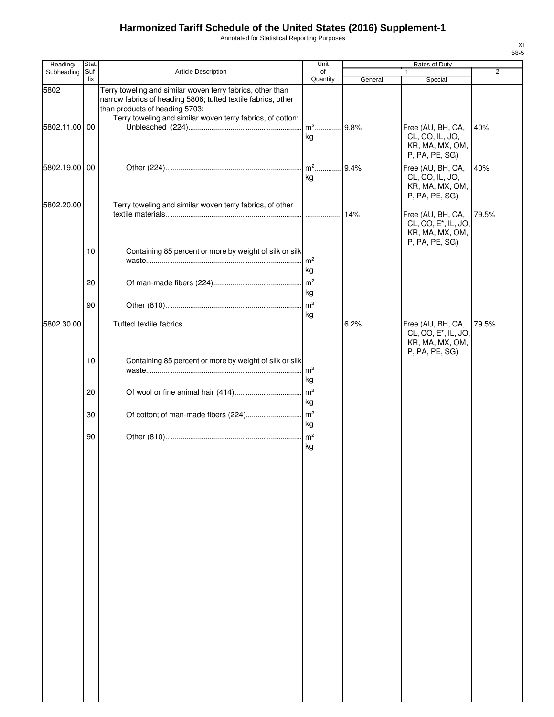Annotated for Statistical Reporting Purposes

| Heading/           | Stat        |                                                                                                                                                                                                                             | Unit                  |         | Rates of Duty                                                                              |                |
|--------------------|-------------|-----------------------------------------------------------------------------------------------------------------------------------------------------------------------------------------------------------------------------|-----------------------|---------|--------------------------------------------------------------------------------------------|----------------|
| Subheading         | Suf-<br>fix | Article Description                                                                                                                                                                                                         | of<br>Quantity        | General | 1<br>Special                                                                               | $\overline{2}$ |
| 5802<br>5802.11.00 | 00          | Terry toweling and similar woven terry fabrics, other than<br>narrow fabrics of heading 5806; tufted textile fabrics, other<br>than products of heading 5703:<br>Terry toweling and similar woven terry fabrics, of cotton: | $m2$                  | 9.8%    | Free (AU, BH, CA,                                                                          | 40%            |
|                    |             |                                                                                                                                                                                                                             | kg                    |         | CL, CO, IL, JO,<br>KR, MA, MX, OM,<br>P, PA, PE, SG)                                       |                |
| 5802.19.00         | 00          |                                                                                                                                                                                                                             | $m2$<br>kg            | 9.4%    | Free (AU, BH, CA,<br>CL, CO, IL, JO,<br>KR, MA, MX, OM,<br>P, PA, PE, SG)                  | 40%            |
| 5802.20.00         |             | Terry toweling and similar woven terry fabrics, of other                                                                                                                                                                    | .                     | 14%     | Free (AU, BH, CA,<br>CL, CO, E <sup>*</sup> , IL, JO,<br>KR, MA, MX, OM,<br>P, PA, PE, SG) | 79.5%          |
|                    | 10          | Containing 85 percent or more by weight of silk or silk                                                                                                                                                                     | m <sup>2</sup><br>kg  |         |                                                                                            |                |
|                    | 20          |                                                                                                                                                                                                                             | m <sup>2</sup><br>kg  |         |                                                                                            |                |
| 5802.30.00         | 90          |                                                                                                                                                                                                                             | kg<br>.               | 6.2%    | Free (AU, BH, CA,                                                                          | 79.5%          |
|                    |             |                                                                                                                                                                                                                             |                       |         | CL, CO, E <sup>*</sup> , IL, JO,<br>KR, MA, MX, OM,<br>P, PA, PE, SG)                      |                |
|                    | 10          | Containing 85 percent or more by weight of silk or silk                                                                                                                                                                     | m <sup>2</sup><br>kg  |         |                                                                                            |                |
|                    | 20          |                                                                                                                                                                                                                             | $\mathsf{Im}^2$<br>kg |         |                                                                                            |                |
|                    | 30<br>90    |                                                                                                                                                                                                                             | kg                    |         |                                                                                            |                |
|                    |             |                                                                                                                                                                                                                             | kg                    |         |                                                                                            |                |
|                    |             |                                                                                                                                                                                                                             |                       |         |                                                                                            |                |
|                    |             |                                                                                                                                                                                                                             |                       |         |                                                                                            |                |
|                    |             |                                                                                                                                                                                                                             |                       |         |                                                                                            |                |
|                    |             |                                                                                                                                                                                                                             |                       |         |                                                                                            |                |
|                    |             |                                                                                                                                                                                                                             |                       |         |                                                                                            |                |
|                    |             |                                                                                                                                                                                                                             |                       |         |                                                                                            |                |
|                    |             |                                                                                                                                                                                                                             |                       |         |                                                                                            |                |
|                    |             |                                                                                                                                                                                                                             |                       |         |                                                                                            |                |
|                    |             |                                                                                                                                                                                                                             |                       |         |                                                                                            |                |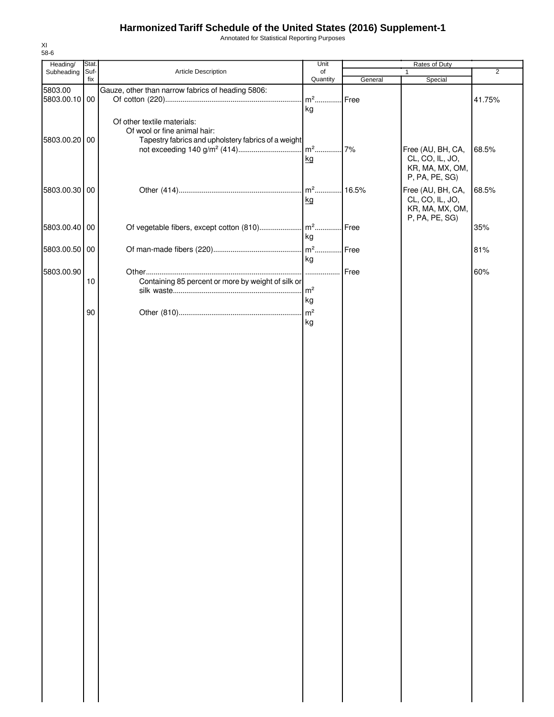Annotated for Statistical Reporting Purposes

| 58-6          |             |                                                     |                |         |                                    |                |
|---------------|-------------|-----------------------------------------------------|----------------|---------|------------------------------------|----------------|
| Heading/      | Stat.       |                                                     | Unit           |         | Rates of Duty                      | $\overline{2}$ |
| Subheading    | Suf-<br>fix | Article Description                                 | of<br>Quantity | General | Special                            |                |
| 5803.00       |             | Gauze, other than narrow fabrics of heading 5806:   |                |         |                                    |                |
| 5803.00.10 00 |             |                                                     | $m2$           | Free    |                                    | 41.75%         |
|               |             |                                                     | kg             |         |                                    |                |
|               |             | Of other textile materials:                         |                |         |                                    |                |
|               |             | Of wool or fine animal hair:                        |                |         |                                    |                |
| 5803.00.20 00 |             | Tapestry fabrics and upholstery fabrics of a weight |                |         |                                    |                |
|               |             |                                                     |                | 7%      | Free (AU, BH, CA,                  | 68.5%          |
|               |             |                                                     | kg             |         | CL, CO, IL, JO,                    |                |
|               |             |                                                     |                |         | KR, MA, MX, OM,<br>P, PA, PE, SG)  |                |
|               |             |                                                     |                |         |                                    |                |
| 5803.00.30 00 |             |                                                     |                | .16.5%  | Free (AU, BH, CA,                  | 68.5%          |
|               |             |                                                     | kg             |         | CL, CO, IL, JO,<br>KR, MA, MX, OM, |                |
|               |             |                                                     |                |         | P, PA, PE, SG)                     |                |
| 5803.00.40 00 |             |                                                     |                |         |                                    | 35%            |
|               |             |                                                     | kg             |         |                                    |                |
| 5803.00.50 00 |             |                                                     |                |         |                                    | 81%            |
|               |             |                                                     | kg             |         |                                    |                |
| 5803.00.90    |             |                                                     |                | Free    |                                    | 60%            |
|               | 10          | Containing 85 percent or more by weight of silk or  |                |         |                                    |                |
|               |             |                                                     | $\mathsf{m}^2$ |         |                                    |                |
|               |             |                                                     | kg             |         |                                    |                |
|               | 90          |                                                     |                |         |                                    |                |
|               |             |                                                     | kg             |         |                                    |                |
|               |             |                                                     |                |         |                                    |                |
|               |             |                                                     |                |         |                                    |                |
|               |             |                                                     |                |         |                                    |                |
|               |             |                                                     |                |         |                                    |                |
|               |             |                                                     |                |         |                                    |                |
|               |             |                                                     |                |         |                                    |                |
|               |             |                                                     |                |         |                                    |                |
|               |             |                                                     |                |         |                                    |                |
|               |             |                                                     |                |         |                                    |                |
|               |             |                                                     |                |         |                                    |                |
|               |             |                                                     |                |         |                                    |                |
|               |             |                                                     |                |         |                                    |                |
|               |             |                                                     |                |         |                                    |                |
|               |             |                                                     |                |         |                                    |                |
|               |             |                                                     |                |         |                                    |                |
|               |             |                                                     |                |         |                                    |                |
|               |             |                                                     |                |         |                                    |                |
|               |             |                                                     |                |         |                                    |                |
|               |             |                                                     |                |         |                                    |                |
|               |             |                                                     |                |         |                                    |                |
|               |             |                                                     |                |         |                                    |                |
|               |             |                                                     |                |         |                                    |                |
|               |             |                                                     |                |         |                                    |                |
|               |             |                                                     |                |         |                                    |                |
|               |             |                                                     |                |         |                                    |                |
|               |             |                                                     |                |         |                                    |                |
|               |             |                                                     |                |         |                                    |                |
|               |             |                                                     |                |         |                                    |                |
|               |             |                                                     |                |         |                                    |                |
|               |             |                                                     |                |         |                                    |                |
|               |             |                                                     |                |         |                                    |                |
|               |             |                                                     |                |         |                                    |                |
|               |             |                                                     |                |         |                                    |                |
|               |             |                                                     |                |         |                                    |                |
|               |             |                                                     |                |         |                                    |                |

XI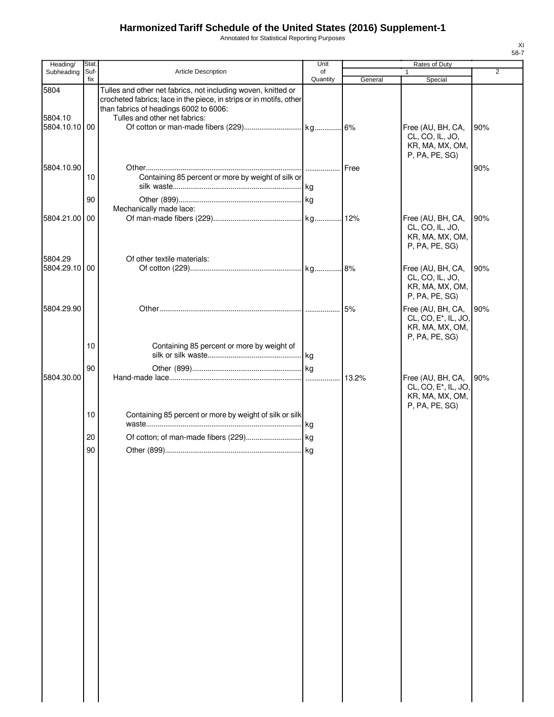Annotated for Statistical Reporting Purposes

| Heading/                         | Stat.          |                                                                                                                                                                                                                 | Unit           |         | Rates of Duty                                                                              |                |
|----------------------------------|----------------|-----------------------------------------------------------------------------------------------------------------------------------------------------------------------------------------------------------------|----------------|---------|--------------------------------------------------------------------------------------------|----------------|
| Subheading                       | Suf-<br>fix    | Article Description                                                                                                                                                                                             | of<br>Quantity | General | $\mathbf{1}$<br>Special                                                                    | $\overline{2}$ |
| 5804<br>5804.10<br>5804.10.10 00 |                | Tulles and other net fabrics, not including woven, knitted or<br>crocheted fabrics; lace in the piece, in strips or in motifs, other<br>than fabrics of headings 6002 to 6006:<br>Tulles and other net fabrics: |                |         | Free (AU, BH, CA,<br>CL, CO, IL, JO,<br>KR, MA, MX, OM,                                    | 90%            |
| 5804.10.90                       | 10             | Containing 85 percent or more by weight of silk or                                                                                                                                                              |                | Free    | P, PA, PE, SG)                                                                             | 90%            |
|                                  | 90             |                                                                                                                                                                                                                 |                |         |                                                                                            |                |
|                                  |                | Mechanically made lace:                                                                                                                                                                                         |                |         |                                                                                            |                |
| 5804.21.00 00                    |                |                                                                                                                                                                                                                 |                |         | Free (AU, BH, CA,<br>CL, CO, IL, JO,<br>KR, MA, MX, OM,<br>P, PA, PE, SG)                  | 90%            |
| 5804.29                          |                | Of other textile materials:                                                                                                                                                                                     |                |         |                                                                                            |                |
| 5804.29.10 00                    |                |                                                                                                                                                                                                                 |                |         | Free (AU, BH, CA,<br>CL, CO, IL, JO,<br>KR, MA, MX, OM,<br>P, PA, PE, SG)                  | 90%            |
| 5804.29.90                       |                |                                                                                                                                                                                                                 |                | 5%      | Free (AU, BH, CA,<br>CL, CO, E <sup>*</sup> , IL, JO,<br>KR, MA, MX, OM,<br>P, PA, PE, SG) | 90%            |
|                                  | 10             | Containing 85 percent or more by weight of                                                                                                                                                                      |                |         |                                                                                            |                |
|                                  |                |                                                                                                                                                                                                                 |                |         |                                                                                            |                |
| 5804.30.00                       | 90             |                                                                                                                                                                                                                 |                |         | Free (AU, BH, CA,                                                                          | 90%            |
|                                  | 10<br>20<br>90 | Containing 85 percent or more by weight of silk or silk                                                                                                                                                         | . kg           |         | CL, CO, E <sup>*</sup> , IL, JO,<br>KR, MA, MX, OM,<br>P, PA, PE, SG)                      |                |
|                                  |                |                                                                                                                                                                                                                 |                |         |                                                                                            |                |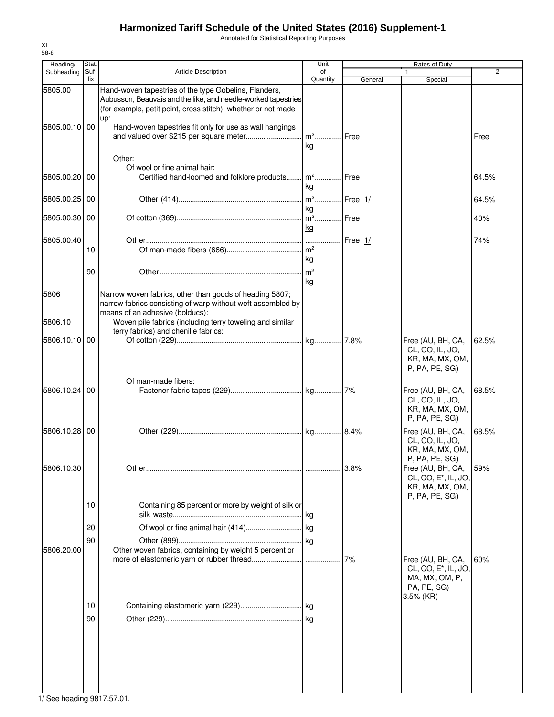Annotated for Statistical Reporting Purposes

| Heading/                 | Stat.       |                                                                                                                                                                                                                                                                     | Unit                       |         | Rates of Duty                                                                                          |                |
|--------------------------|-------------|---------------------------------------------------------------------------------------------------------------------------------------------------------------------------------------------------------------------------------------------------------------------|----------------------------|---------|--------------------------------------------------------------------------------------------------------|----------------|
| Subheading               | Suf-<br>fix | Article Description                                                                                                                                                                                                                                                 | of<br>Quantity             | General | 1.<br>Special                                                                                          | $\overline{2}$ |
| 5805.00<br>5805.00.10 00 |             | Hand-woven tapestries of the type Gobelins, Flanders,<br>Aubusson, Beauvais and the like, and needle-worked tapestries<br>(for example, petit point, cross stitch), whether or not made<br>up:<br>Hand-woven tapestries fit only for use as wall hangings<br>Other: | $m2$<br>kg                 | Free    |                                                                                                        | Free           |
| 5805.00.20 00            |             | Of wool or fine animal hair:<br>Certified hand-loomed and folklore products                                                                                                                                                                                         | $\mathsf{Im}^2$<br>kg      | l Free  |                                                                                                        | 64.5%          |
| 5805.00.25               | -00         |                                                                                                                                                                                                                                                                     | m <sup>2</sup> Free 1/     |         |                                                                                                        | 64.5%          |
| 5805.00.30 00            |             |                                                                                                                                                                                                                                                                     | kg<br>m <sup>2</sup> Free  |         |                                                                                                        | 40%            |
| 5805.00.40               | 10          |                                                                                                                                                                                                                                                                     | kg<br>m <sup>2</sup>       | Free 1/ |                                                                                                        | 74%            |
|                          | 90          |                                                                                                                                                                                                                                                                     | kg<br>m <sup>2</sup><br>kg |         |                                                                                                        |                |
| 5806                     |             | Narrow woven fabrics, other than goods of heading 5807;<br>narrow fabrics consisting of warp without weft assembled by<br>means of an adhesive (bolducs):                                                                                                           |                            |         |                                                                                                        |                |
| 5806.10                  |             | Woven pile fabrics (including terry toweling and similar<br>terry fabrics) and chenille fabrics:                                                                                                                                                                    |                            |         |                                                                                                        |                |
| 5806.10.10 00            |             |                                                                                                                                                                                                                                                                     |                            |         | Free (AU, BH, CA,<br>CL, CO, IL, JO,<br>KR, MA, MX, OM,<br>P, PA, PE, SG)                              | 62.5%          |
| 5806.10.24 00            |             | Of man-made fibers:                                                                                                                                                                                                                                                 |                            |         | Free (AU, BH, CA,<br>CL, CO, IL, JO,<br>KR, MA, MX, OM,<br>P, PA, PE, SG)                              | 68.5%          |
| 5806.10.28               | 00          |                                                                                                                                                                                                                                                                     |                            |         | Free (AU, BH, CA,<br>CL, CO, IL, JO,<br>KR, MA, MX, OM,                                                | 68.5%          |
| 5806.10.30               |             |                                                                                                                                                                                                                                                                     |                            | 13.8%   | P, PA, PE, SG)<br>Free (AU, BH, CA,<br>CL, CO, E <sup>*</sup> , IL, JO,<br>KR, MA, MX, OM,             | 59%            |
|                          | 10          | Containing 85 percent or more by weight of silk or                                                                                                                                                                                                                  |                            |         | P, PA, PE, SG)                                                                                         |                |
| 5806.20.00               | 20<br>90    | Other woven fabrics, containing by weight 5 percent or                                                                                                                                                                                                              |                            |         |                                                                                                        |                |
|                          |             |                                                                                                                                                                                                                                                                     |                            | 7%      | Free (AU, BH, CA,<br>CL, CO, E <sup>*</sup> , IL, JO,<br>MA, MX, OM, P,<br>PA, PE, SG)<br>$3.5\%$ (KR) | 60%            |
|                          | 10<br>90    |                                                                                                                                                                                                                                                                     |                            |         |                                                                                                        |                |
|                          |             |                                                                                                                                                                                                                                                                     |                            |         |                                                                                                        |                |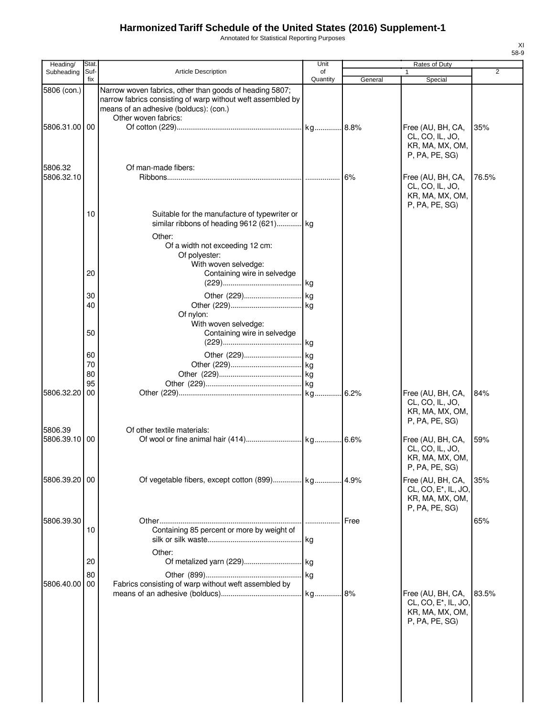Annotated for Statistical Reporting Purposes

| Heading/              | <b>Stat</b> |                                                                                                                                                                                          | Unit     |         | Rates of Duty                                                                              |       |
|-----------------------|-------------|------------------------------------------------------------------------------------------------------------------------------------------------------------------------------------------|----------|---------|--------------------------------------------------------------------------------------------|-------|
| Subheading            | Suf-        | <b>Article Description</b>                                                                                                                                                               | of       |         |                                                                                            | 2     |
|                       | fix         |                                                                                                                                                                                          | Quantity | General | Special                                                                                    |       |
| 5806 (con.)           |             | Narrow woven fabrics, other than goods of heading 5807;<br>narrow fabrics consisting of warp without weft assembled by<br>means of an adhesive (bolducs): (con.)<br>Other woven fabrics: |          |         |                                                                                            |       |
| 5806.31.00 00         |             |                                                                                                                                                                                          |          |         | Free (AU, BH, CA,<br>CL, CO, IL, JO,<br>KR, MA, MX, OM,                                    | 35%   |
|                       |             |                                                                                                                                                                                          |          |         | P, PA, PE, SG)                                                                             |       |
| 5806.32<br>5806.32.10 |             | Of man-made fibers:                                                                                                                                                                      |          | 6%      | Free (AU, BH, CA,<br>CL, CO, IL, JO,<br>KR, MA, MX, OM,                                    | 76.5% |
|                       |             |                                                                                                                                                                                          |          |         | P, PA, PE, SG)                                                                             |       |
|                       | 10          | Suitable for the manufacture of typewriter or<br>similar ribbons of heading 9612 (621) kg                                                                                                |          |         |                                                                                            |       |
|                       |             | Other:<br>Of a width not exceeding 12 cm:<br>Of polyester:                                                                                                                               |          |         |                                                                                            |       |
|                       | 20          | With woven selvedge:<br>Containing wire in selvedge                                                                                                                                      |          |         |                                                                                            |       |
|                       |             |                                                                                                                                                                                          |          |         |                                                                                            |       |
|                       | 30          |                                                                                                                                                                                          |          |         |                                                                                            |       |
|                       | 40          |                                                                                                                                                                                          |          |         |                                                                                            |       |
|                       |             | Of nylon:                                                                                                                                                                                |          |         |                                                                                            |       |
|                       | 50          | With woven selvedge:<br>Containing wire in selvedge                                                                                                                                      |          |         |                                                                                            |       |
|                       | 60          |                                                                                                                                                                                          |          |         |                                                                                            |       |
|                       | 70          |                                                                                                                                                                                          |          |         |                                                                                            |       |
|                       | 80          |                                                                                                                                                                                          |          |         |                                                                                            |       |
| 5806.32.20            | 95<br>00    |                                                                                                                                                                                          |          |         | Free (AU, BH, CA,                                                                          | 84%   |
|                       |             |                                                                                                                                                                                          |          |         | CL, CO, IL, JO,<br>KR, MA, MX, OM,<br>P, PA, PE, SG)                                       |       |
| 5806.39<br>5806.39.10 | 00          | Of other textile materials:                                                                                                                                                              |          |         | Free (AU, BH, CA,                                                                          | 59%   |
|                       |             |                                                                                                                                                                                          |          |         | CL, CO, IL, JO,<br>KR, MA, MX, OM,<br>P, PA, PE, SG)                                       |       |
| 5806.39.20 00         |             | Of vegetable fibers, except cotton (899) kg 4.9%                                                                                                                                         |          |         | Free (AU, BH, CA,<br>CL, CO, E <sup>*</sup> , IL, JO,<br>KR, MA, MX, OM,<br>P, PA, PE, SG) | 35%   |
| 5806.39.30            |             |                                                                                                                                                                                          |          | Free    |                                                                                            | 65%   |
|                       | 10          | Containing 85 percent or more by weight of                                                                                                                                               |          |         |                                                                                            |       |
|                       |             | Other:                                                                                                                                                                                   |          |         |                                                                                            |       |
|                       | 20          |                                                                                                                                                                                          |          |         |                                                                                            |       |
| 5806.40.00            | 80<br>00    | Fabrics consisting of warp without weft assembled by                                                                                                                                     |          |         |                                                                                            |       |
|                       |             |                                                                                                                                                                                          |          |         | Free (AU, BH, CA,                                                                          | 83.5% |
|                       |             |                                                                                                                                                                                          |          |         | CL, CO, E*, IL, JO,<br>KR, MA, MX, OM,<br>P, PA, PE, SG)                                   |       |
|                       |             |                                                                                                                                                                                          |          |         |                                                                                            |       |
|                       |             |                                                                                                                                                                                          |          |         |                                                                                            |       |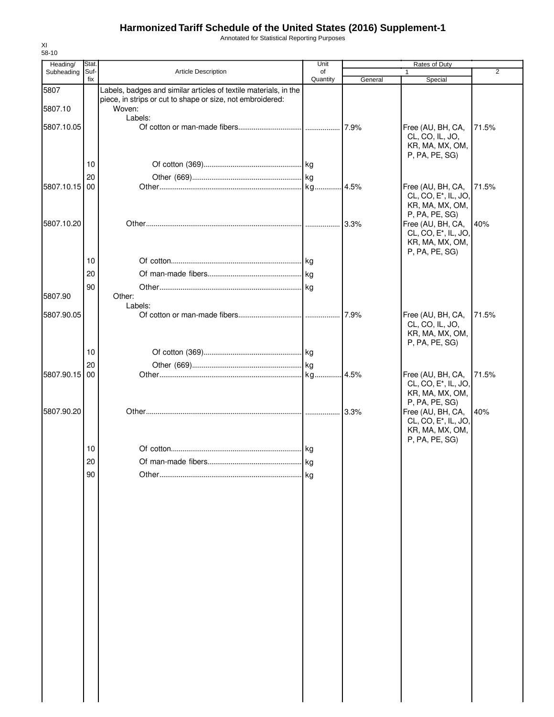Annotated for Statistical Reporting Purposes

| Heading/   | Stat.       |                                                                  | Unit           |         | Rates of Duty                                         |                |
|------------|-------------|------------------------------------------------------------------|----------------|---------|-------------------------------------------------------|----------------|
| Subheading | Suf-<br>fix | <b>Article Description</b>                                       | of<br>Quantity | General | Special                                               | $\overline{2}$ |
| 5807       |             | Labels, badges and similar articles of textile materials, in the |                |         |                                                       |                |
|            |             | piece, in strips or cut to shape or size, not embroidered:       |                |         |                                                       |                |
| 5807.10    |             | Woven:                                                           |                |         |                                                       |                |
| 5807.10.05 |             | Labels:                                                          |                |         | Free (AU, BH, CA,                                     | 71.5%          |
|            |             |                                                                  |                |         | CL, CO, IL, JO,                                       |                |
|            |             |                                                                  |                |         | KR, MA, MX, OM,                                       |                |
|            |             |                                                                  |                |         | P, PA, PE, SG)                                        |                |
|            | 10          |                                                                  |                |         |                                                       |                |
| 5807.10.15 | 20<br>00    |                                                                  |                |         | Free (AU, BH, CA,                                     |                |
|            |             |                                                                  |                | .4.5%   | CL, CO, E <sup>*</sup> , IL, JO,                      | 71.5%          |
|            |             |                                                                  |                |         | KR, MA, MX, OM,                                       |                |
|            |             |                                                                  |                |         | P, PA, PE, SG)                                        |                |
| 5807.10.20 |             |                                                                  |                | 3.3%    | Free (AU, BH, CA,<br>CL, CO, E <sup>*</sup> , IL, JO, | 40%            |
|            |             |                                                                  |                |         | KR, MA, MX, OM,                                       |                |
|            |             |                                                                  |                |         | P, PA, PE, SG)                                        |                |
|            | 10          |                                                                  |                |         |                                                       |                |
|            | 20          |                                                                  |                |         |                                                       |                |
|            | 90          |                                                                  |                |         |                                                       |                |
| 5807.90    |             | Other:                                                           |                |         |                                                       |                |
|            |             | Labels:                                                          |                |         |                                                       |                |
| 5807.90.05 |             |                                                                  |                |         | Free (AU, BH, CA,<br>CL, CO, IL, JO,                  | 71.5%          |
|            |             |                                                                  |                |         | KR, MA, MX, OM,                                       |                |
|            |             |                                                                  |                |         | P, PA, PE, SG)                                        |                |
|            | 10          |                                                                  |                |         |                                                       |                |
|            | 20          |                                                                  |                |         |                                                       |                |
| 5807.90.15 | 00          |                                                                  |                |         | Free (AU, BH, CA,<br>CL, CO, E <sup>*</sup> , IL, JO, | 71.5%          |
|            |             |                                                                  |                |         | KR, MA, MX, OM,                                       |                |
|            |             |                                                                  |                |         | P, PA, PE, SG)                                        |                |
| 5807.90.20 |             |                                                                  |                | 3.3%    | Free (AU, BH, CA,                                     | 40%            |
|            |             |                                                                  |                |         | CL, CO, E <sup>*</sup> , IL, JO,<br>KR, MA, MX, OM,   |                |
|            |             |                                                                  |                |         | P, PA, PE, SG)                                        |                |
|            | 10          |                                                                  |                |         |                                                       |                |
|            | 20          |                                                                  | kg             |         |                                                       |                |
|            | 90          |                                                                  | l kg           |         |                                                       |                |
|            |             |                                                                  |                |         |                                                       |                |
|            |             |                                                                  |                |         |                                                       |                |
|            |             |                                                                  |                |         |                                                       |                |
|            |             |                                                                  |                |         |                                                       |                |
|            |             |                                                                  |                |         |                                                       |                |
|            |             |                                                                  |                |         |                                                       |                |
|            |             |                                                                  |                |         |                                                       |                |
|            |             |                                                                  |                |         |                                                       |                |
|            |             |                                                                  |                |         |                                                       |                |
|            |             |                                                                  |                |         |                                                       |                |
|            |             |                                                                  |                |         |                                                       |                |
|            |             |                                                                  |                |         |                                                       |                |
|            |             |                                                                  |                |         |                                                       |                |
|            |             |                                                                  |                |         |                                                       |                |
|            |             |                                                                  |                |         |                                                       |                |
|            |             |                                                                  |                |         |                                                       |                |
|            |             |                                                                  |                |         |                                                       |                |
|            |             |                                                                  |                |         |                                                       |                |
|            |             |                                                                  |                |         |                                                       |                |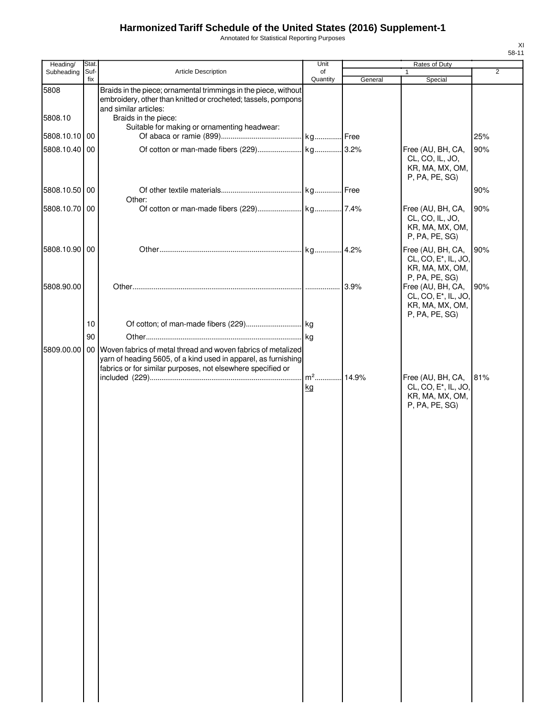Annotated for Statistical Reporting Purposes

| Heading/                 | Stat. |                                                                                                                                                                                                  | Unit     |         | Rates of Duty                                                                              |                |
|--------------------------|-------|--------------------------------------------------------------------------------------------------------------------------------------------------------------------------------------------------|----------|---------|--------------------------------------------------------------------------------------------|----------------|
| Subheading               | Suf-  | <b>Article Description</b>                                                                                                                                                                       | of       |         | $\mathbf{1}$                                                                               | $\overline{2}$ |
|                          | fix   |                                                                                                                                                                                                  | Quantity | General | Special                                                                                    |                |
| 5808                     |       | Braids in the piece; ornamental trimmings in the piece, without<br>embroidery, other than knitted or crocheted; tassels, pompons<br>and similar articles:                                        |          |         |                                                                                            |                |
| 5808.10<br>5808.10.10 00 |       | Braids in the piece:<br>Suitable for making or ornamenting headwear:                                                                                                                             |          |         |                                                                                            | 25%            |
| 5808.10.40               | 00    |                                                                                                                                                                                                  |          |         |                                                                                            |                |
|                          |       |                                                                                                                                                                                                  |          |         | Free (AU, BH, CA,<br>CL, CO, IL, JO,<br>KR, MA, MX, OM,<br>P, PA, PE, SG)                  | 90%            |
| 5808.10.50 00            |       | Other:                                                                                                                                                                                           |          |         |                                                                                            | 90%            |
| 5808.10.70               | 00    |                                                                                                                                                                                                  |          |         | Free (AU, BH, CA,<br>CL, CO, IL, JO,<br>KR, MA, MX, OM,<br>P, PA, PE, SG)                  | 90%            |
| 5808.10.90 00            |       |                                                                                                                                                                                                  |          | .4.2%   | Free (AU, BH, CA,<br>CL, CO, E <sup>*</sup> , IL, JO,<br>KR, MA, MX, OM,<br>P, PA, PE, SG) | 90%            |
| 5808.90.00               |       |                                                                                                                                                                                                  |          | 3.9%    | Free (AU, BH, CA,<br>CL, CO, E <sup>*</sup> , IL, JO,<br>KR, MA, MX, OM,                   | 90%            |
|                          | 10    |                                                                                                                                                                                                  |          |         | P, PA, PE, SG)                                                                             |                |
|                          | 90    |                                                                                                                                                                                                  |          |         |                                                                                            |                |
| 5809.00.00               |       | 00 Woven fabrics of metal thread and woven fabrics of metalized<br>yarn of heading 5605, of a kind used in apparel, as furnishing<br>fabrics or for similar purposes, not elsewhere specified or | $m2$ .   | 14.9%   | Free (AU, BH, CA,                                                                          | 81%            |
|                          |       |                                                                                                                                                                                                  | kg       |         | CL, CO, E <sup>*</sup> , IL, JO,<br>KR, MA, MX, OM,<br>P, PA, PE, SG)                      |                |
|                          |       |                                                                                                                                                                                                  |          |         |                                                                                            |                |

XI 58-11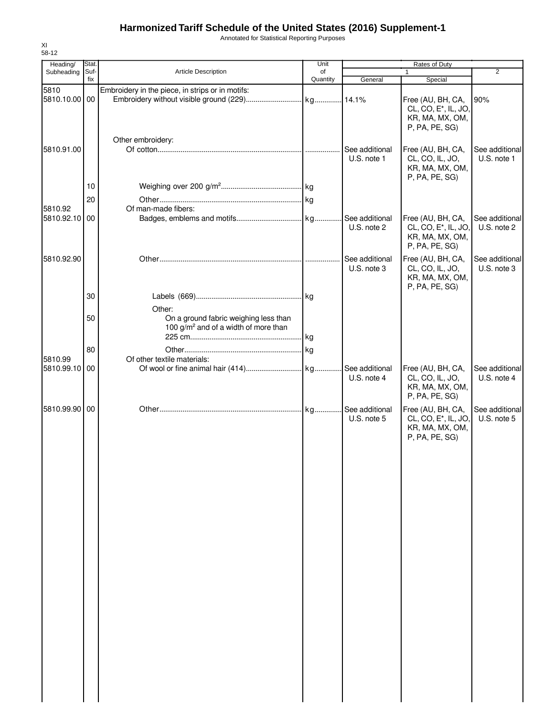Annotated for Statistical Reporting Purposes

| 58-12<br>Heading/        | Stat. |                                                                                                     | Unit     |                               | Rates of Duty                                                                              |                               |
|--------------------------|-------|-----------------------------------------------------------------------------------------------------|----------|-------------------------------|--------------------------------------------------------------------------------------------|-------------------------------|
| Subheading               | Suf-  | <b>Article Description</b>                                                                          | of       |                               | 1                                                                                          | $\overline{2}$                |
|                          | fix   |                                                                                                     | Quantity | General                       | Special                                                                                    |                               |
| 5810<br>5810.10.00 00    |       | Embroidery in the piece, in strips or in motifs:                                                    |          |                               | Free (AU, BH, CA,<br>CL, CO, E <sup>*</sup> , IL, JO,<br>KR, MA, MX, OM,<br>P, PA, PE, SG) | 90%                           |
| 5810.91.00               |       | Other embroidery:                                                                                   |          | See additional<br>U.S. note 1 | Free (AU, BH, CA,<br>CL, CO, IL, JO,<br>KR, MA, MX, OM,<br>P, PA, PE, SG)                  | See additional<br>U.S. note 1 |
|                          | 10    |                                                                                                     |          |                               |                                                                                            |                               |
|                          | 20    |                                                                                                     |          |                               |                                                                                            |                               |
| 5810.92<br>5810.92.10 00 |       | Of man-made fibers:                                                                                 |          | See additional<br>U.S. note 2 | Free (AU, BH, CA,<br>CL, CO, E <sup>*</sup> , IL, JO,<br>KR, MA, MX, OM,<br>P, PA, PE, SG) | See additional<br>U.S. note 2 |
| 5810.92.90               |       |                                                                                                     |          | See additional<br>U.S. note 3 | Free (AU, BH, CA,<br>CL, CO, IL, JO,<br>KR, MA, MX, OM,<br>P, PA, PE, SG)                  | See additional<br>U.S. note 3 |
|                          | 30    |                                                                                                     |          |                               |                                                                                            |                               |
|                          | 50    | Other:<br>On a ground fabric weighing less than<br>100 g/m <sup>2</sup> and of a width of more than |          |                               |                                                                                            |                               |
|                          | 80    |                                                                                                     |          |                               |                                                                                            |                               |
| 5810.99                  |       | Of other textile materials:                                                                         |          |                               |                                                                                            |                               |
| 5810.99.10               | 00    |                                                                                                     |          | U.S. note 4                   | Free (AU, BH, CA,<br>CL, CO, IL, JO,<br>KR, MA, MX, OM,<br>P, PA, PE, SG)                  | See additional<br>U.S. note 4 |
| 5810.99.90 00            |       |                                                                                                     |          | U.S. note 5                   | Free (AU, BH, CA,<br>CL, CO, E <sup>*</sup> , IL, JO,<br>KR, MA, MX, OM,<br>P, PA, PE, SG) | See additional<br>U.S. note 5 |

XI